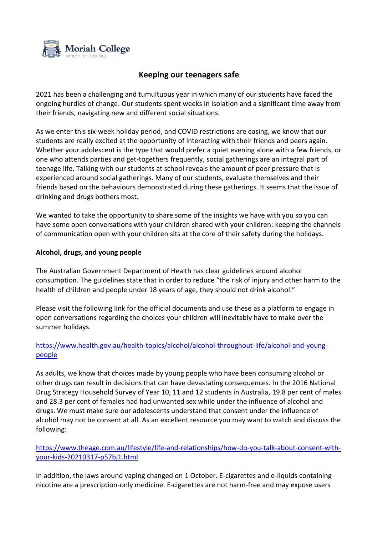

## **Keeping our teenagers safe**

2021 has been a challenging and tumultuous year in which many of our students have faced the ongoing hurdles of change. Our students spent weeks in isolation and a significant time away from their friends, navigating new and different social situations.

As we enter this six-week holiday period, and COVID restrictions are easing, we know that our students are really excited at the opportunity of interacting with their friends and peers again. Whether your adolescent is the type that would prefer a quiet evening alone with a few friends, or one who attends parties and get-togethers frequently, social gatherings are an integral part of teenage life. Talking with our students at school reveals the amount of peer pressure that is experienced around social gatherings. Many of our students, evaluate themselves and their friends based on the behaviours demonstrated during these gatherings. It seems that the issue of drinking and drugs bothers most.

We wanted to take the opportunity to share some of the insights we have with you so you can have some open conversations with your children shared with your children: keeping the channels of communication open with your children sits at the core of their safety during the holidays.

## **Alcohol, drugs, and young people**

The Australian Government Department of Health has clear guidelines around alcohol consumption. The guidelines state that in order to reduce "the risk of injury and other harm to the health of children and people under 18 years of age, they should not drink alcohol."

Please visit the following link for the official documents and use these as a platform to engage in open conversations regarding the choices your children will inevitably have to make over the summer holidays.

## [https://www.health.gov.au/health-topics/alcohol/alcohol-throughout-life/alcohol-and-young](https://www.health.gov.au/health-topics/alcohol/alcohol-throughout-life/alcohol-and-young-people)[people](https://www.health.gov.au/health-topics/alcohol/alcohol-throughout-life/alcohol-and-young-people)

As adults, we know that choices made by young people who have been consuming alcohol or other drugs can result in decisions that can have devastating consequences. In the 2016 National Drug Strategy Household Survey of Year 10, 11 and 12 students in Australia, 19.8 per cent of males and 28.3 per cent of females had had unwanted sex while under the influence of alcohol and drugs. We must make sure our adolescents understand that consent under the influence of alcohol may not be consent at all. As an excellent resource you may want to watch and discuss the following:

[https://www.theage.com.au/lifestyle/life-and-relationships/how-do-you-talk-about-consent-with](https://www.theage.com.au/lifestyle/life-and-relationships/how-do-you-talk-about-consent-with-your-kids-20210317-p57bj1.html)[your-kids-20210317-p57bj1.html](https://www.theage.com.au/lifestyle/life-and-relationships/how-do-you-talk-about-consent-with-your-kids-20210317-p57bj1.html)

In addition, the laws around vaping changed on 1 October. E-cigarettes and e-liquids containing nicotine are a prescription-only medicine. E-cigarettes are not harm-free and may expose users